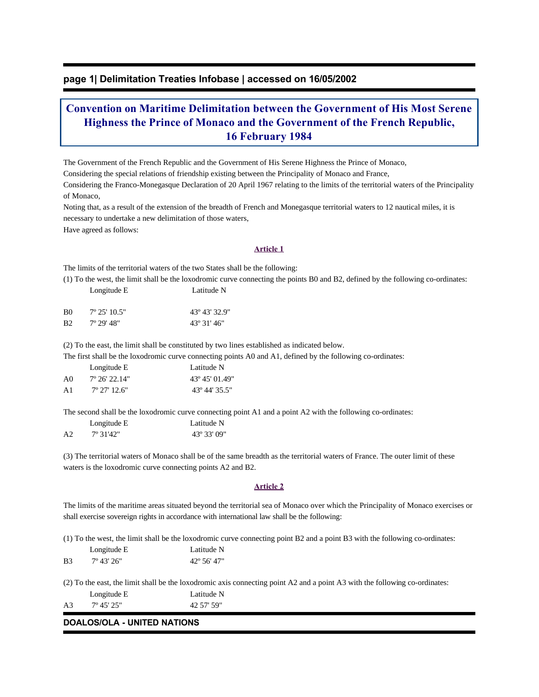# **page 1| Delimitation Treaties Infobase | accessed on 16/05/2002**

# **Convention on Maritime Delimitation between the Government of His Most Serene Highness the Prince of Monaco and the Government of the French Republic, 16 February 1984**

The Government of the French Republic and the Government of His Serene Highness the Prince of Monaco,

Considering the special relations of friendship existing between the Principality of Monaco and France,

Considering the Franco-Monegasque Declaration of 20 April 1967 relating to the limits of the territorial waters of the Principality of Monaco,

Noting that, as a result of the extension of the breadth of French and Monegasque territorial waters to 12 nautical miles, it is necessary to undertake a new delimitation of those waters,

Have agreed as follows:

## **Article 1**

The limits of the territorial waters of the two States shall be the following:

(1) To the west, the limit shall be the loxodromic curve connecting the points B0 and B2, defined by the following co-ordinates: Longitude E Latitude N

| B <sub>0</sub> | $7^{\circ}$ 25' 10.5" | 43° 43′ 32.9″       |
|----------------|-----------------------|---------------------|
| B <sub>2</sub> | 7° 29' 48"            | $43^{\circ}31'46''$ |

(2) To the east, the limit shall be constituted by two lines established as indicated below.

The first shall be the loxodromic curve connecting points A0 and A1, defined by the following co-ordinates:

|    | Longitude E            | Latitude N                      |
|----|------------------------|---------------------------------|
| A0 | $7^{\circ}$ 26' 22.14" | 43° 45′ 01.49″                  |
| A1 | $7^{\circ}$ 27' 12.6"  | $43^{\circ}$ 44' $35.5^{\circ}$ |

The second shall be the loxodromic curve connecting point A1 and a point A2 with the following co-ordinates:

|                | Longitude E | Latitude N  |
|----------------|-------------|-------------|
| A <sub>2</sub> | 7° 31'42"   | 43° 33′ 09″ |

(3) The territorial waters of Monaco shall be of the same breadth as the territorial waters of France. The outer limit of these waters is the loxodromic curve connecting points A2 and B2.

## **Article 2**

The limits of the maritime areas situated beyond the territorial sea of Monaco over which the Principality of Monaco exercises or shall exercise sovereign rights in accordance with international law shall be the following:

(1) To the west, the limit shall be the loxodromic curve connecting point B2 and a point B3 with the following co-ordinates:

 Longitude E Latitude N B3 7° 43' 26" 42° 56' 47"

(2) To the east, the limit shall be the loxodromic axis connecting point A2 and a point A3 with the following co-ordinates: Longitude E Latitude N

A3 7º 45' 25" 42 57' 59"

## **DOALOS/OLA - UNITED NATIONS**